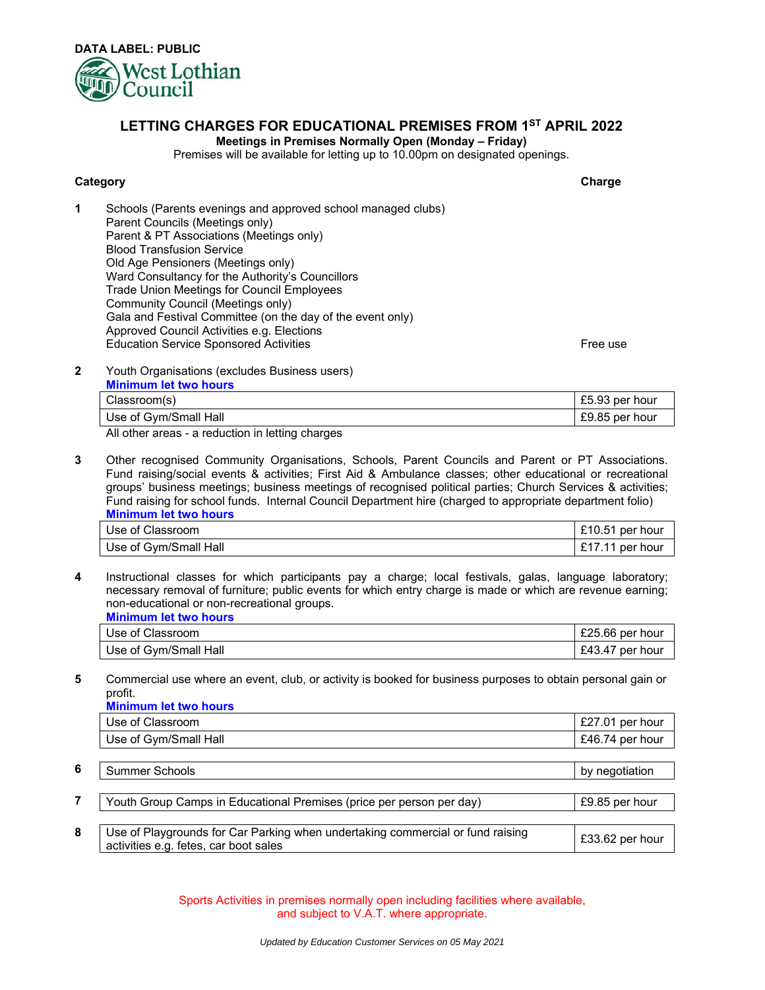

## **LETTING CHARGES FOR EDUCATIONAL PREMISES FROM 1ST APRIL 2022**

## **Meetings in Premises Normally Open (Monday – Friday)**

Premises will be available for letting up to 10.00pm on designated openings.

## **Category Charge**

**1** Schools (Parents evenings and approved school managed clubs) Parent Councils (Meetings only) Parent & PT Associations (Meetings only) Blood Transfusion Service Old Age Pensioners (Meetings only) Ward Consultancy for the Authority's Councillors Trade Union Meetings for Council Employees Community Council (Meetings only) Gala and Festival Committee (on the day of the event only) Approved Council Activities e.g. Elections<br>Education Service Sponsored Activities Education Service Sponsored Activities

**2 2** Youth Organisations (excludes Business users)

| <b>Minimum let two hours</b> |                |
|------------------------------|----------------|
| Classroom(s)                 | £5.93 per hour |
| Use of Gym/Small Hall        | £9.85 per hour |

All other areas - a reduction in letting charges

**3** Other recognised Community Organisations, Schools, Parent Councils and Parent or PT Associations. Fund raising/social events & activities; First Aid & Ambulance classes; other educational or recreational groups' business meetings; business meetings of recognised political parties; Church Services & activities; Fund raising for school funds. Internal Council Department hire (charged to appropriate department folio) **Minimum let two hours**

| Use of Classroom      | £10.51 per hour |
|-----------------------|-----------------|
| Use of Gym/Small Hall | £17.11 per hour |

**4** Instructional classes for which participants pay a charge; local festivals, galas, language laboratory; necessary removal of furniture; public events for which entry charge is made or which are revenue earning; non-educational or non-recreational groups. **Minimum let two hours**

| <u>MURICIAN ISLAND HOURS</u> |                    |
|------------------------------|--------------------|
| Use of Classroom             | $£25.66$ per hour  |
| Use of Gym/Small Hall        | £43.47<br>per hour |

**5** Commercial use where an event, club, or activity is booked for business purposes to obtain personal gain or profit.

|   | <b>Minimum let two hours</b>                                                                                            |                 |  |
|---|-------------------------------------------------------------------------------------------------------------------------|-----------------|--|
|   | Use of Classroom                                                                                                        | £27.01 per hour |  |
|   | Use of Gym/Small Hall                                                                                                   | £46.74 per hour |  |
|   |                                                                                                                         |                 |  |
| 6 | Summer Schools                                                                                                          | by negotiation  |  |
|   |                                                                                                                         |                 |  |
|   | Youth Group Camps in Educational Premises (price per person per day)                                                    | £9.85 per hour  |  |
|   |                                                                                                                         |                 |  |
| 8 | Use of Playgrounds for Car Parking when undertaking commercial or fund raising<br>activities e.g. fetes, car boot sales | £33.62 per hour |  |

Sports Activities in premises normally open including facilities where available, and subject to V.A.T. where appropriate.